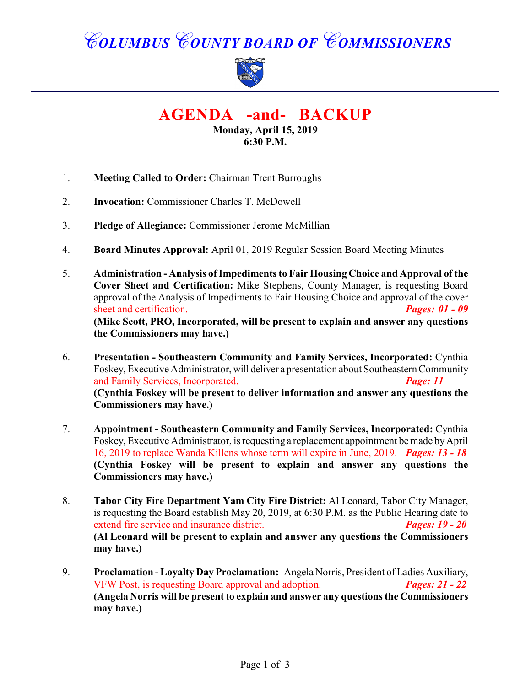# *COLUMBUS COUNTY BOARD OF COMMISSIONERS*



**AGENDA -and- BACKUP**

**Monday, April 15, 2019 6:30 P.M.**

- 1. **Meeting Called to Order:** Chairman Trent Burroughs
- 2. **Invocation:** Commissioner Charles T. McDowell
- 3. **Pledge of Allegiance:** Commissioner Jerome McMillian
- 4. **Board Minutes Approval:** April 01, 2019 Regular Session Board Meeting Minutes
- 5. **Administration Analysis of Impediments to Fair Housing Choice and Approval of the Cover Sheet and Certification:** Mike Stephens, County Manager, is requesting Board approval of the Analysis of Impediments to Fair Housing Choice and approval of the cover sheet and certification. *Pages: 01 - 09* **(Mike Scott, PRO, Incorporated, will be present to explain and answer any questions the Commissioners may have.)**
- 6. **Presentation Southeastern Community and Family Services, Incorporated:** Cynthia Foskey, Executive Administrator, will deliver a presentation about Southeastern Community and Family Services, Incorporated. *Page: 11*  **(Cynthia Foskey will be present to deliver information and answer any questions the Commissioners may have.)**
- 7. **Appointment Southeastern Community and Family Services, Incorporated:** Cynthia Foskey, Executive Administrator, is requesting a replacement appointment be made by April 16, 2019 to replace Wanda Killens whose term will expire in June, 2019. *Pages: 13 - 18* **(Cynthia Foskey will be present to explain and answer any questions the Commissioners may have.)**
- 8. **Tabor City Fire Department Yam City Fire District:** Al Leonard, Tabor City Manager, is requesting the Board establish May 20, 2019, at 6:30 P.M. as the Public Hearing date to extend fire service and insurance district. *Pages: 19 - 20* **(Al Leonard will be present to explain and answer any questions the Commissioners may have.)**
- 9. **Proclamation Loyalty Day Proclamation:** Angela Norris, President of Ladies Auxiliary, VFW Post, is requesting Board approval and adoption. *Pages: 21 - 22* **(Angela Norris will be present to explain and answer any questions the Commissioners may have.)**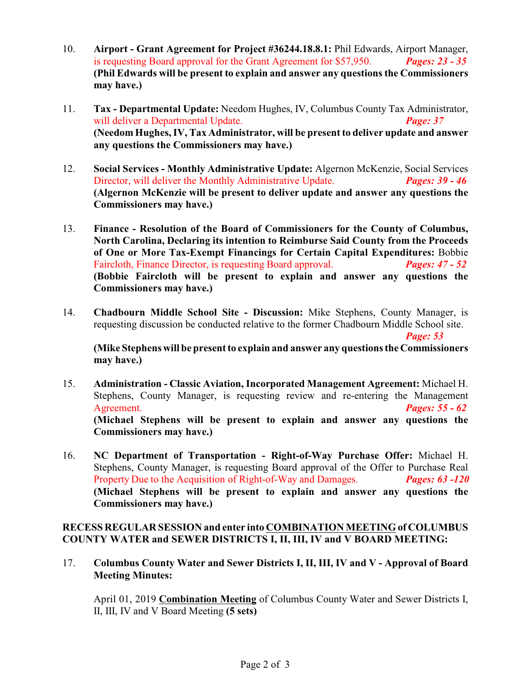- 10. **Airport Grant Agreement for Project #36244.18.8.1:** Phil Edwards, Airport Manager, is requesting Board approval for the Grant Agreement for \$57,950. *Pages: 23 - 35* **(Phil Edwards will be present to explain and answer any questions the Commissioners may have.)**
- 11. **Tax Departmental Update:** Needom Hughes, IV, Columbus County Tax Administrator, will deliver a Departmental Update. *Page: 37* **(Needom Hughes, IV, Tax Administrator, will be present to deliver update and answer any questions the Commissioners may have.)**
- 12. **Social Services Monthly Administrative Update:** Algernon McKenzie, Social Services Director, will deliver the Monthly Administrative Update. *Pages: 39 - 46* **(Algernon McKenzie will be present to deliver update and answer any questions the Commissioners may have.)**
- 13. **Finance Resolution of the Board of Commissioners for the County of Columbus, North Carolina, Declaring its intention to Reimburse Said County from the Proceeds of One or More Tax-Exempt Financings for Certain Capital Expenditures:** Bobbie Faircloth, Finance Director, is requesting Board approval. *Pages: 47 - 52* **(Bobbie Faircloth will be present to explain and answer any questions the Commissioners may have.)**
- 14. **Chadbourn Middle School Site Discussion:** Mike Stephens, County Manager, is requesting discussion be conducted relative to the former Chadbourn Middle School site. *Page: 53*

**(Mike Stephens will be present to explain and answer any questions the Commissioners may have.)**

- 15. **Administration Classic Aviation, Incorporated Management Agreement:** Michael H. Stephens, County Manager, is requesting review and re-entering the Management Agreement. *Pages: 55 - 62* **(Michael Stephens will be present to explain and answer any questions the Commissioners may have.)**
- 16. **NC Department of Transportation Right-of-Way Purchase Offer:** Michael H. Stephens, County Manager, is requesting Board approval of the Offer to Purchase Real Property Due to the Acquisition of Right-of-Way and Damages. *Pages: 63 -120* **(Michael Stephens will be present to explain and answer any questions the Commissioners may have.)**

#### **RECESS REGULAR SESSION and enter into COMBINATION MEETING of COLUMBUS COUNTY WATER and SEWER DISTRICTS I, II, III, IV and V BOARD MEETING:**

17. **Columbus County Water and Sewer Districts I, II, III, IV and V - Approval of Board Meeting Minutes:**

April 01, 2019 **Combination Meeting** of Columbus County Water and Sewer Districts I, II, III, IV and V Board Meeting **(5 sets)**